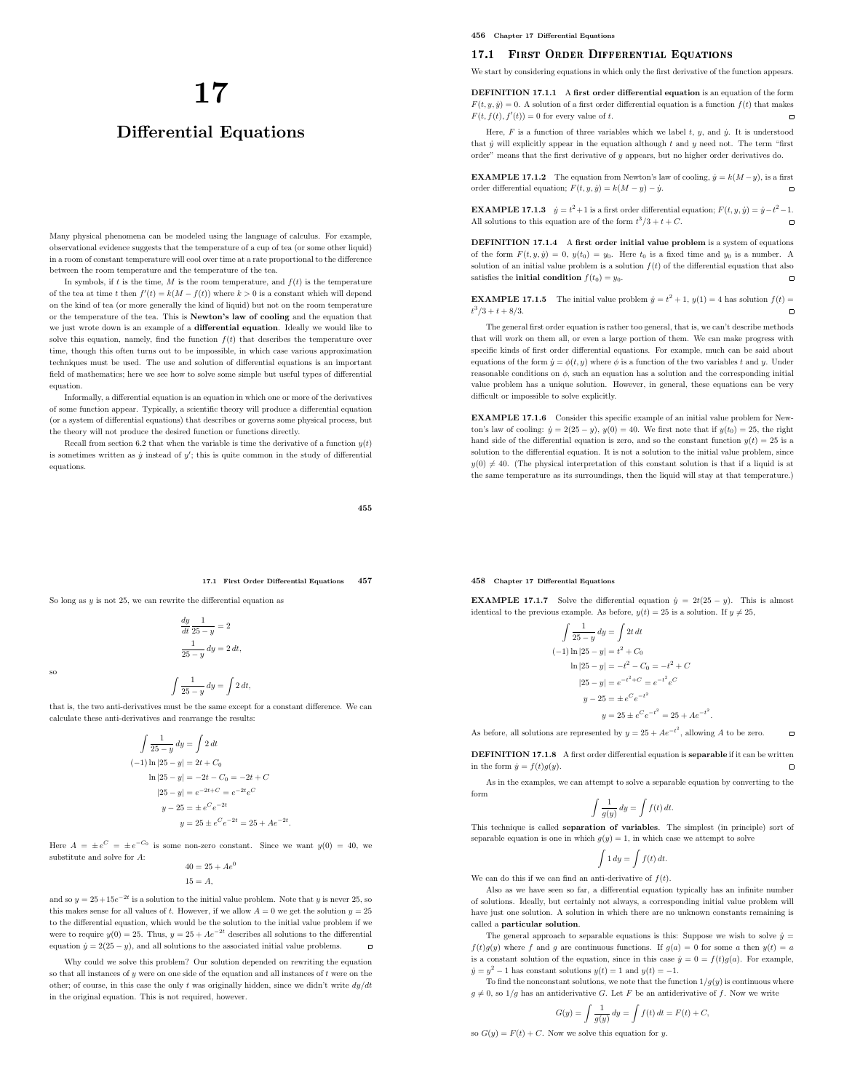# 17 Differential Equations

Many physical phenomena can be modeled using the language of calculus. For example, observational evidence suggests that the temperature of a cup of tea (or some other liquid) in a room of constant temperature will cool over time at a rate proportional to the difference between the room temperature and the temperature of the tea.

In symbols, if  $t$  is the time,  $M$  is the room temperature, and  $f(t)$  is the temperature of the tea at time t then  $f'(t) = k(M - f(t))$  where  $k > 0$  is a constant which will depend on the kind of tea (or more generally the kind of liquid) but not on the room temperature or the temperature of the tea. This is Newton's law of cooling and the equation that we just wrote down is an example of a differential equation. Ideally we would like to solve this equation, namely, find the function  $f(t)$  that describes the temperature over time, though this often turns out to be impossible, in which case various approximation techniques must be used. The use and solution of differential equations is an important field of mathematics; here we see how to solve some simple but useful types of differential equation.

Informally, a differential equation is an equation in which one or more of the derivatives of some function appear. Typically, a scientific theory will produce a differential equation (or a system of differential equations) that describes or governs some physical process, but the theory will not produce the desired function or functions directly.

Recall from section 6.2 that when the variable is time the derivative of a function  $y(t)$ is sometimes written as  $\dot{y}$  instead of  $y'$ ; this is quite common in the study of differential equations.

455

17.1 First Order Differential Equations 457

So long as  $y$  is not 25, we can rewrite the differential equation as

dy dt 1  $\frac{1}{25-y} = 2$ 1  $\frac{1}{25-y} dy = 2 dt,$ 

so

$$
\int \frac{1}{25 - y} \, dy = \int 2 \, dt,
$$

that is, the two anti-derivatives must be the same except for a constant difference. We can calculate these anti-derivatives and rearrange the results:

$$
\int \frac{1}{25 - y} dy = \int 2 dt
$$
  
\n(-1) ln |25 - y| = 2t + C<sub>0</sub>  
\nln |25 - y| = -2t - C<sub>0</sub> = -2t + C  
\n|25 - y| = e^{-2t + C} = e^{-2t}e^{C}  
\ny - 25 = \pm e^{C}e^{-2t} \qquad y = 25 \pm e^{C}e^{-2t} = 25 + Ae^{-2t}.

Here  $A = \pm e^C = \pm e^{-C_0}$  is some non-zero constant. Since we want  $y(0) = 40$ , we substitute and solve for A:  $40 = 25 + 4e^0$ 

$$
40 = 25 + Ae^*
$$
  

$$
15 = A,
$$

and so  $y = 25 + 15e^{-2t}$  is a solution to the initial value problem. Note that y is never 25, so this makes sense for all values of  $t$ . However, if we allow  $A = 0$  we get the solution  $y = 25$ to the differential equation, which would be the solution to the initial value problem if we were to require  $y(0) = 25$ . Thus,  $y = 25 + Ae^{-2t}$  describes all solutions to the differential equation  $\dot{y} = 2(25 - y)$ , and all solutions to the associated initial value problems.  $\Box$ 

Why could we solve this problem? Our solution depended on rewriting the equation so that all instances of  $y$  were on one side of the equation and all instances of  $t$  were on the other; of course, in this case the only t was originally hidden, since we didn't write  $dy/dt$ in the original equation. This is not required, however.

456 Chapter 17 Differential Equations

# 17.1 First Order Differential Equations

We start by considering equations in which only the first derivative of the function appears.

DEFINITION 17.1.1 A first order differential equation is an equation of the form  $F(t, y, \dot{y}) = 0$ . A solution of a first order differential equation is a function  $f(t)$  that makes  $F(t, f(t), f'(t)) = 0$  for every value of t.

Here,  $F$  is a function of three variables which we label  $t, y$ , and  $\dot{y}$ . It is understood that  $\dot{y}$  will explicitly appear in the equation although  $t$  and  $y$  need not. The term "first order" means that the first derivative of y appears, but no higher order derivatives do.

**EXAMPLE 17.1.2** The equation from Newton's law of cooling,  $\dot{y} = k(M - y)$ , is a first order differential equation;  $F(t, y, \dot{y}) = k(M - y) - \dot{y}$ .

**EXAMPLE 17.1.3**  $\dot{y} = t^2 + 1$  is a first order differential equation;  $F(t, y, \dot{y}) = \dot{y} - t^2 - 1$ . All solutions to this equation are of the form  $t^3/3 + t + C$ .

DEFINITION 17.1.4 A first order initial value problem is a system of equations of the form  $F(t, y, \dot{y}) = 0$ ,  $y(t_0) = y_0$ . Here  $t_0$  is a fixed time and  $y_0$  is a number. A solution of an initial value problem is a solution  $f(t)$  of the differential equation that also satisfies the **initial condition**  $f(t_0) = y_0$ .  $\overline{a}$ 

**EXAMPLE 17.1.5** The initial value problem  $\dot{y} = t^2 + 1$ ,  $y(1) = 4$  has solution  $f(t) =$  $t^3/3 + t + 8/3.$  $\overline{a}$ 

The general first order equation is rather too general, that is, we can't describe methods that will work on them all, or even a large portion of them. We can make progress with specific kinds of first order differential equations. For example, much can be said about equations of the form  $\dot{y} = \phi(t, y)$  where  $\phi$  is a function of the two variables t and y. Under reasonable conditions on  $\phi$ , such an equation has a solution and the corresponding initial value problem has a unique solution. However, in general, these equations can be very difficult or impossible to solve explicitly.

EXAMPLE 17.1.6 Consider this specific example of an initial value problem for Newton's law of cooling:  $\dot{y} = 2(25 - y), y(0) = 40$ . We first note that if  $y(t_0) = 25$ , the right hand side of the differential equation is zero, and so the constant function  $y(t) = 25$  is a solution to the differential equation. It is not a solution to the initial value problem, since  $y(0) \neq 40$ . (The physical interpretation of this constant solution is that if a liquid is at the same temperature as its surroundings, then the liquid will stay at that temperature.)

# 458 Chapter 17 Differential Equations

**EXAMPLE 17.1.7** Solve the differential equation  $\dot{y} = 2t(25 - y)$ . This is almost identical to the previous example. As before,  $y(t) = 25$  is a solution. If  $y \neq 25$ ,

$$
\int \frac{1}{25 - y} dy = \int 2t dt
$$
  
\n(-1) ln |25 - y| = t<sup>2</sup> + C<sub>0</sub>  
\nln |25 - y| = -t<sup>2</sup> - C<sub>0</sub> = -t<sup>2</sup> + C  
\n|25 - y| = e<sup>-t<sup>2</sup> + C</sup> = e<sup>-t<sup>2</sup> e<sup>C</sup>  
\ny - 25 = \pm e<sup>C</sup> e<sup>-t<sup>2</sup></sup>  
\ny = 25 \pm e<sup>C</sup> e<sup>-t<sup>2</sup></sup> = 25 + Ae<sup>-t<sup>2</sup></sup>.</sup>

As before, all solutions are represented by  $y = 25 + Ae^{-t^2}$ , allowing A to be zero.  $\overline{a}$ 

DEFINITION 17.1.8 A first order differential equation is separable if it can be written in the form  $\dot{y}=f(t)g(y).$  $\Box$ 

As in the examples, we can attempt to solve a separable equation by converting to the form

$$
\int \frac{1}{g(y)} \, dy = \int f(t) \, dt.
$$

This technique is called separation of variables. The simplest (in principle) sort of separable equation is one in which  $q(y) = 1$ , in which case we attempt to solve

$$
\int 1 dy = \int f(t) dt.
$$

We can do this if we can find an anti-derivative of  $f(t)$ .

Also as we have seen so far, a differential equation typically has an infinite number of solutions. Ideally, but certainly not always, a corresponding initial value problem will have just one solution. A solution in which there are no unknown constants remaining is called a particular solution.

The general approach to separable equations is this: Suppose we wish to solve  $\dot{y} =$  $f(t)g(y)$  where f and g are continuous functions. If  $g(a) = 0$  for some a then  $y(t) = a$ is a constant solution of the equation, since in this case  $\dot{y} = 0 = f(t)g(a)$ . For example,  $\dot{y} = y^2 - 1$  has constant solutions  $y(t) = 1$  and  $y(t) = -1$ .

To find the nonconstant solutions, we note that the function  $1/g(y)$  is continuous where  $g \neq 0$ , so  $1/g$  has an antiderivative G. Let F be an antiderivative of f. Now we write

$$
G(y) = \int \frac{1}{g(y)} \, dy = \int f(t) \, dt = F(t) + C,
$$

so  $G(y) = F(t) + C$ . Now we solve this equation for y.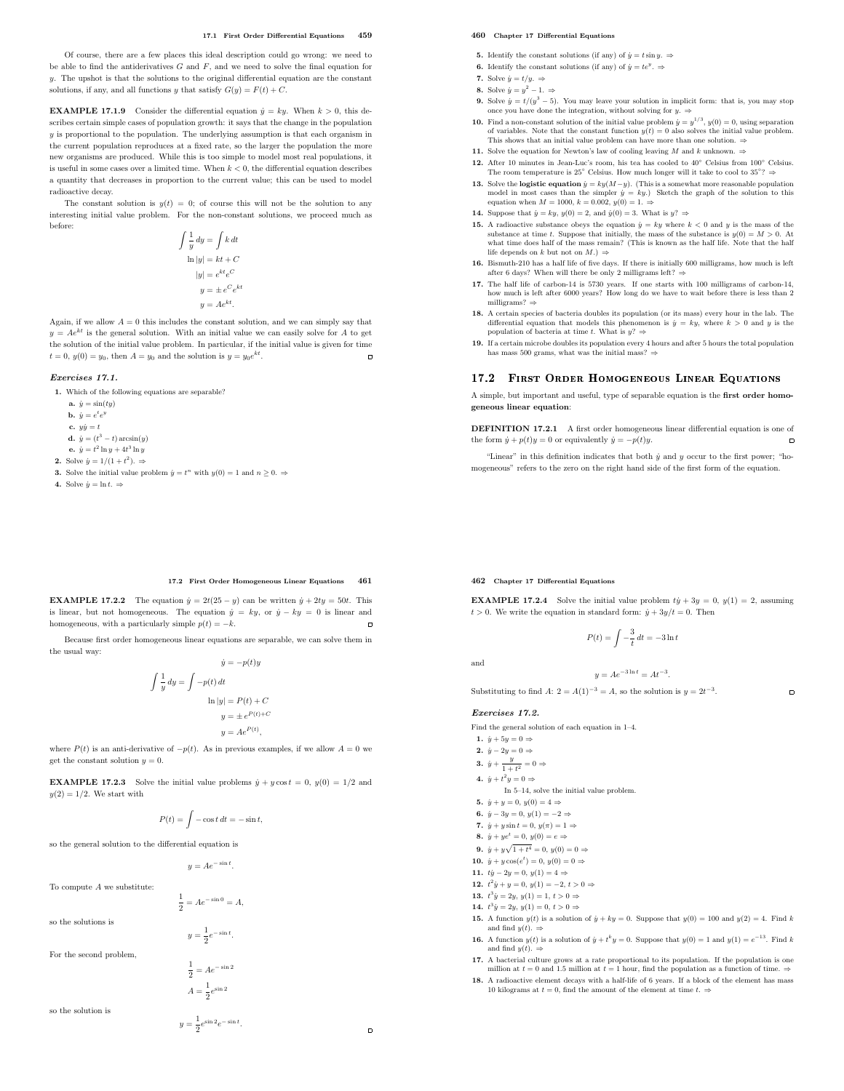#### 17.1 First Order Differential Equations 459

Of course, there are a few places this ideal description could go wrong: we need to be able to find the antiderivatives  $G$  and  $F$ , and we need to solve the final equation for  $y$ . The upshot is that the solutions to the original differential equation are the constant solutions, if any, and all functions y that satisfy  $G(y) = F(t) + C$ .

**EXAMPLE 17.1.9** Consider the differential equation  $\dot{y} = k y$ . When  $k > 0$ , this describes certain simple cases of population growth: it says that the change in the population y is proportional to the population. The underlying assumption is that each organism in the current population reproduces at a fixed rate, so the larger the population the more new organisms are produced. While this is too simple to model most real populations, it is useful in some cases over a limited time. When  $k < 0$ , the differential equation describes a quantity that decreases in proportion to the current value; this can be used to model radioactive decay.

The constant solution is  $y(t) = 0$ ; of course this will not be the solution to any interesting initial value problem. For the non-constant solutions, we proceed much as before:

$$
\int \frac{1}{y} dy = \int k dt
$$

$$
\ln|y| = kt + C
$$

$$
|y| = e^{kt} e^{C}
$$

$$
y = \pm e^{C} e^{kt}
$$

$$
y = Ae^{kt}.
$$

Again, if we allow  $A = 0$  this includes the constant solution, and we can simply say that  $y = Ae^{kt}$  is the general solution. With an initial value we can easily solve for A to get the solution of the initial value problem. In particular, if the initial value is given for time  $t = 0$ ,  $y(0) = y_0$ , then  $A = y_0$  and the solution is  $y = y_0 e^{kt}$ .

# Exercises 17.1.

1. Which of the following equations are separable?

- a.  $\dot{y} = \sin(ty)$
- **b.**  $\dot{y} = e^t e^y$
- c.  $y\dot{y} = t$
- **d.**  $\dot{y} = (t^3 t) \arcsin(y)$
- **e.**  $\dot{y} = t^2 \ln y + 4t^3 \ln y$
- **2.** Solve  $\dot{y} = 1/(1 + t^2)$ .  $\Rightarrow$
- **3.** Solve the initial value problem  $\dot{y} = t^n$  with  $y(0) = 1$  and  $n \ge 0$ .
- 4. Solve  $\dot{y} = \ln t$ .  $\Rightarrow$

#### 460 Chapter 17 Differential Equations

- 5. Identify the constant solutions (if any) of  $\dot{y} = t \sin y$ .  $\Rightarrow$
- **6.** Identify the constant solutions (if any) of  $\dot{y} = te^y$ .
- 7. Solve  $\dot{y} = t/y$ .  $\Rightarrow$
- 8. Solve  $\dot{y} = y^2 1. \Rightarrow$
- 9. Solve  $\dot{y} = t/(y^3 5)$ . You may leave your solution in implicit form: that is, you may stop once you have done the integration, without solving for  $y$ .  $\Rightarrow$
- **10.** Find a non-constant solution of the initial value problem  $\dot{y} = y^{1/3}$ ,  $y(0) = 0$ , using separation of variables. Note that the constant function  $y(t) = 0$  also solves the initial value problem. This shows that an initial value problem can have more than one solution. ⇒
- 11. Solve the equation for Newton's law of cooling leaving  $M$  and  $k$  unknown.  $\Rightarrow$
- 12. After 10 minutes in Jean-Luc's room, his tea has cooled to 40◦ Celsius from 100◦ Celsius. The room temperature is 25° Celsius. How much longer will it take to cool to 35°? $\Rightarrow$
- 13. Solve the **logistic equation**  $\dot{y} = k\dot{y}(M-y)$ . (This is a somewhat more reasonable population model in most cases than the simpler  $\dot{y} = ky$ .) Sketch the graph of the solution to this equation when  $M = 1000, k = 0.002, y(0) = 1. \Rightarrow$
- 14. Suppose that  $\dot{y} = ky$ ,  $y(0) = 2$ , and  $\dot{y}(0) = 3$ . What is  $y$ ?  $\Rightarrow$
- 15. A radioactive substance obeys the equation  $\dot{y} = ky$  where  $k < 0$  and y is the mass of the substance at time t. Suppose that initially, the mass of the substance is  $y(0) = M > 0$ . At what time does half of the mass remain? (This is known as the half life. Note that the half life depends on k but not on  $M$ .)  $\Rightarrow$
- **16.** Bismuth-210 has a half life of five days. If there is initially 600 milligrams, how much is left after 6 days? When will there be only 2 milligrams left?  $\Rightarrow$
- 17. The half life of carbon-14 is 5730 years. If one starts with 100 milligrams of carbon-14, how much is left after 6000 years? How long do we have to wait before there is less than 2 milligrams?  $\Rightarrow$
- 18. A certain species of bacteria doubles its population (or its mass) every hour in the lab. The differential equation that models this phenomenon is  $\dot{y} = ky$ , where  $k > 0$  and y is the population of bacteria at time t. What is  $y$ ? ⇒
- 19. If a certain microbe doubles its population every 4 hours and after 5 hours the total population has mass 500 grams, what was the initial mass?  $\Rightarrow$

## 17.2 First Order Homogeneous Linear Equations

A simple, but important and useful, type of separable equation is the first order homogeneous linear equation:

DEFINITION 17.2.1 A first order homogeneous linear differential equation is one of the form  $\dot{y} + p(t)y = 0$  or equivalently  $\dot{y} = -p(t)y$ .  $\Box$ 

"Linear" in this definition indicates that both  $\dot{y}$  and  $y$  occur to the first power; "homogeneous" refers to the zero on the right hand side of the first form of the equation.

## 17.2 First Order Homogeneous Linear Equations 461

**EXAMPLE 17.2.2** The equation  $\dot{y} = 2t(25 - y)$  can be written  $\dot{y} + 2ty = 50t$ . This is linear, but not homogeneous. The equation  $\dot{y} = ky$ , or  $\dot{y} - ky = 0$  is linear and homogeneous, with a particularly simple  $p(t) = -k$ . homogeneous, with a particularly simple  $p(t) = -k$ .

Because first order homogeneous linear equations are separable, we can solve them in the usual way:  $\therefore$  =  $p(t)$ 

$$
y = -p(t)y
$$

$$
\int \frac{1}{y} dy = \int -p(t) dt
$$

$$
\ln|y| = P(t) + C
$$

$$
y = \pm e^{P(t)+C}
$$

$$
y = Ae^{P(t)},
$$

where  $P(t)$  is an anti-derivative of  $-p(t)$ . As in previous examples, if we allow  $A = 0$  we get the constant solution  $y = 0$ .

**EXAMPLE 17.2.3** Solve the initial value problems  $\dot{y} + y \cos t = 0$ ,  $y(0) = 1/2$  and  $y(2) = 1/2$ . We start with

$$
P(t) = \int -\cos t \, dt = -\sin t,
$$

so the general solution to the differential equation is

 $y = Ae^{-\sin t}$ .

To compute  $\boldsymbol{A}$  we substitute:

1  $\frac{1}{2} = Ae^{-\sin 0} = A$ ,

so the solutions is

 $y=\frac{1}{2}$  $rac{1}{2}e^{-\sin t}$ .

For the second problem,

$$
\frac{1}{2} = Ae^{-\sin 2}
$$

$$
A = \frac{1}{2}e^{\sin 2}
$$

so the solution is

 $y=\frac{1}{2}$  $\frac{1}{2}e^{\sin 2}e^{-\sin t}.$ 

 $\blacksquare$ 

#### 462 Chapter 17 Differential Equations

**EXAMPLE 17.2.4** Solve the initial value problem  $ty + 3y = 0$ ,  $y(1) = 2$ , assuming  $t > 0$ . We write the equation in standard form:  $\dot{y} + 3y/t = 0$ . Then

$$
P(t) = \int -\frac{3}{t} dt = -3 \ln t
$$

 $y = Ae^{-3 \ln t} = At^{-3}.$ 

 $\Box$ 

Substituting to find A:  $2 = A(1)^{-3} = A$ , so the solution is  $y = 2t^{-3}$ .

#### Exercises 17.2.

Find the general solution of each equation in 1–4.

- 
- 2.  $\dot{y} 2y = 0 \Rightarrow$
- 
- - In 5–14, solve the initial value problem.
- 
- 
- 
- 8.  $\dot{y} + ye^t = 0, y(0) = e \Rightarrow$
- **9.**  $\dot{y} + y\sqrt{1+t^4} = 0, y(0) = 0 \Rightarrow$
- 10.  $\dot{y} + y \cos(e^t) = 0, y(0) = 0 \Rightarrow$
- 
- 
- 
- 
- and find  $y(t)$ .  $\Rightarrow$
- and find  $y(t) \Rightarrow$
- **17.** A bacterial culture grows at a rate proportional to its population. If the population is one million at  $t = 0$  and 1.5 million at  $t = 1$  hour, find the population as a function of time.  $\Rightarrow$
- **18.** A radioactive element decays with a half-life of 6 years. If a block of the element has mass 10 kilograms at  $t = 0$ , find the amount of the element at time  $t$ .  $\Rightarrow$

and

- 1.  $\dot{y} + 5y = 0 \Rightarrow$
- 
- 3.  $\dot{y} + \frac{y}{1+t^2} = 0 \Rightarrow$
- 4.  $\dot{y} + t^2 y = 0 \Rightarrow$
- 5.  $\dot{y} + y = 0, y(0) = 4 \Rightarrow$
- 6.  $\dot{y} 3y = 0, y(1) = -2 \Rightarrow$
- 7.  $\dot{y} + y \sin t = 0, y(\pi) = 1 \Rightarrow$
- 
- 
- 
- 11.  $ty 2y = 0, y(1) = 4 \Rightarrow$
- 12.  $t^2 \dot{y} + y = 0, y(1) = -2, t > 0 \Rightarrow$
- 13.  $t^3 \dot{y} = 2y, y(1) = 1, t > 0 \Rightarrow$
- 14.  $t^3 \dot{y} = 2y, y(1) = 0, t > 0 \Rightarrow$
- 15. A function  $y(t)$  is a solution of  $\dot{y} + ky = 0$ . Suppose that  $y(0) = 100$  and  $y(2) = 4$ . Find k
- **16.** A function  $y(t)$  is a solution of  $\dot{y} + t^k y = 0$ . Suppose that  $y(0) = 1$  and  $y(1) = e^{-13}$ . Find k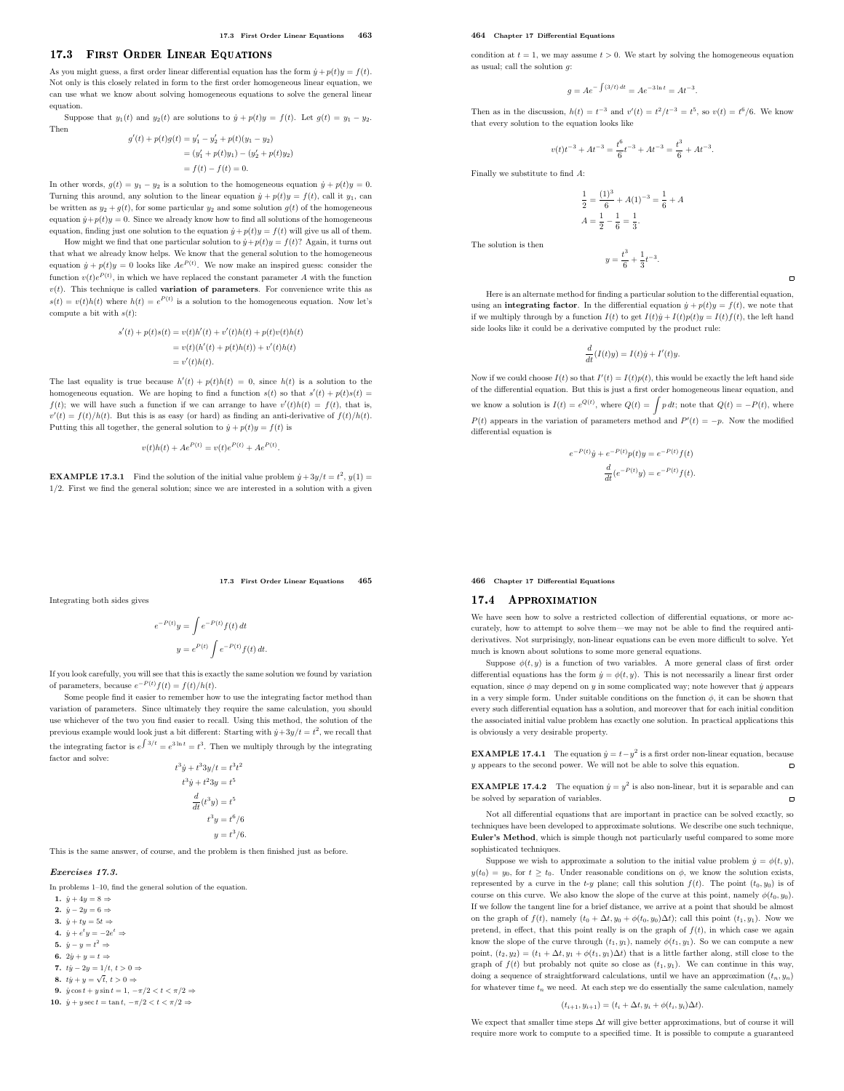# 17.3 First Order Linear Equations

As you might guess, a first order linear differential equation has the form  $\dot{y} + p(t)y = f(t)$ . Not only is this closely related in form to the first order homogeneous linear equation, we can use what we know about solving homogeneous equations to solve the general linear equation.

Suppose that  $y_1(t)$  and  $y_2(t)$  are solutions to  $\dot{y} + p(t)y = f(t)$ . Let  $g(t) = y_1 - y_2$ . Then

$$
\begin{split} g'(t) + p(t)g(t) &= y_1' - y_2' + p(t)(y_1 - y_2) \\ &= (y_1' + p(t)y_1) - (y_2' + p(t)y_2) \\ &= f(t) - f(t) = 0. \end{split}
$$

In other words,  $g(t) = y_1 - y_2$  is a solution to the homogeneous equation  $\dot{y} + p(t)y = 0$ . Turning this around, any solution to the linear equation  $\dot{y} + p(t)y = f(t)$ , call it  $y_1$ , can be written as  $y_2 + g(t)$ , for some particular  $y_2$  and some solution  $g(t)$  of the homogeneous equation  $\dot{y} + p(t)y = 0$ . Since we already know how to find all solutions of the homogeneous equation, finding just one solution to the equation  $\dot{y} + p(t)y = f(t)$  will give us all of them.

How might we find that one particular solution to  $\dot{y}+p(t)y=f(t)$  ? Again, it turns out that what we already know helps. We know that the general solution to the homogeneous equation  $\dot{y} + p(t)y = 0$  looks like  $Ae^{P(t)}$ . We now make an inspired guess: consider the function  $v(t)e^{P(t)}$ , in which we have replaced the constant parameter A with the function  $v(t).$  This technique is called **variation of parameters**. For convenience write this as  $s(t) = v(t)h(t)$  where  $h(t) = e^{P(t)}$  is a solution to the homogeneous equation. Now let's compute a bit with  $s(t)$ :

$$
\begin{aligned} s'(t) + p(t)s(t) &= v(t)h'(t) + v'(t)h(t) + p(t)v(t)h(t) \\ &= v(t)(h'(t) + p(t)h(t)) + v'(t)h(t) \\ &= v'(t)h(t). \end{aligned}
$$

The last equality is true because  $h'(t) + p(t)h(t) = 0$ , since  $h(t)$  is a solution to the homogeneous equation. We are hoping to find a function  $s(t)$  so that  $s'(t) + p(t)s(t) =$  $f(t)$ ; we will have such a function if we can arrange to have  $v'(t)h(t) = f(t)$ , that is,  $v'(t) = f(t)/h(t)$ . But this is as easy (or hard) as finding an anti-derivative of  $f(t)/h(t)$ . Putting this all together, the general solution to  $\dot{y} + p(t)y = f(t)$  is

$$
v(t)h(t) + Ae^{P(t)} = v(t)e^{P(t)} + Ae^{P(t)}.
$$

**EXAMPLE 17.3.1** Find the solution of the initial value problem  $\dot{y} + 3y/t = t^2$ ,  $y(1) =$ 1/2. First we find the general solution; since we are interested in a solution with a given

17.3 First Order Linear Equations 465

Integrating both sides gives

$$
e^{-P(t)}y = \int e^{-P(t)} f(t) dt
$$

$$
y = e^{P(t)} \int e^{-P(t)} f(t) dt.
$$

If you look carefully, you will see that this is exactly the same solution we found by variation of parameters, because  $e^{-P(t)}f(t) = f(t)/h(t)$ .

Some people find it easier to remember how to use the integrating factor method than variation of parameters. Since ultimately they require the same calculation, you should use whichever of the two you find easier to recall. Using this method, the solution of the previous example would look just a bit different: Starting with  $\dot{y} + 3y/t = t^2$ , we recall that the integrating factor is  $e^{\int 3/t} = e^{3 \ln t} = t^3$ . Then we multiply through by the integrating factor and solve:

$$
t3 y + t3 3y/t = t3 t2
$$

$$
t3 y + t2 3y = t5
$$

$$
\frac{d}{dt}(t3 y) = t5
$$

$$
t3 y = t6/6
$$

$$
y = t3/6.
$$

This is the same answer, of course, and the problem is then finished just as before.

#### Exercises 17.3.

In problems 1–10, find the general solution of the equation.

- 1.  $\dot{u} + 4u = 8 \Rightarrow$
- 2.  $\dot{y} 2y = 6 \Rightarrow$
- 3.  $\dot{y} + ty = 5t \Rightarrow$
- 4.  $\dot{y} + e^t y = -2e^t \Rightarrow$
- 5.  $\dot{y} y = t^2 \Rightarrow$
- 6.  $2\dot{y} + y = t \Rightarrow$
- 7.  $ty 2y = 1/t, t > 0 \Rightarrow$
- 8.  $ty + y = \sqrt{t}, t > 0 \Rightarrow$
- 9.  $\dot{y}\cos t + y\sin t = 1, -\pi/2 < t < \pi/2 \Rightarrow$
- 10.  $\dot{y} + y \sec t = \tan t, -\pi/2 < t < \pi/2 \Rightarrow$

#### 464 Chapter 17 Differential Equations

condition at  $t = 1$ , we may assume  $t > 0$ . We start by solving the homogeneous equation as usual; call the solution  $q$ :

$$
g = Ae^{-\int (3/t) dt} = Ae^{-3\ln t} = At^{-3}
$$

.

 $\overline{a}$ 

Then as in the discussion,  $h(t) = t^{-3}$  and  $v'(t) = t^2/t^{-3} = t^5$ , so  $v(t) = t^6/6$ . We know that every solution to the equation looks like

$$
v(t)t^{-3}+At^{-3}=\frac{t^6}{6}t^{-3}+At^{-3}=\frac{t^3}{6}+At^{-3}.
$$

Finally we substitute to find A:

$$
\frac{1}{2} = \frac{(1)^3}{6} + A(1)^{-3} = \frac{1}{6} + A
$$

$$
A = \frac{1}{2} - \frac{1}{6} = \frac{1}{3}.
$$

 $y=\frac{t^3}{a}$  $\frac{t^3}{6} + \frac{1}{3}$  $\frac{1}{3}t^{-3}$ .

The solution is then

Here is an alternate method for finding a particular solution to the differential equation, using an **integrating factor**. In the differential equation  $\dot{y} + p(t)y = f(t)$ , we note that if we multiply through by a function  $I(t)$  to get  $I(t)\dot{y} + I(t)p(t)y = I(t)f(t)$ , the left hand side looks like it could be a derivative computed by the product rule:

$$
\frac{d}{dt}(I(t)y) = I(t)\dot{y} + I'(t)y.
$$

Now if we could choose  $I(t)$  so that  $I'(t) = I(t)p(t)$ , this would be exactly the left hand side of the differential equation. But this is just a first order homogeneous linear equation, and we know a solution is  $I(t) = e^{Q(t)}$ , where  $Q(t) = \int p dt$ ; note that  $Q(t) = -P(t)$ , where  $P(t)$  appears in the variation of parameters method and  $P'(t) = -p$ . Now the modified differential equation is

$$
-^{P(t)}\dot{y} + e^{-P(t)}p(t)y = e^{-P(t)}f(t)
$$

$$
\frac{d}{dt}(e^{-P(t)}y) = e^{-P(t)}f(t).
$$

466 Chapter 17 Differential Equations

e

# 17.4 APPROXIMATION

We have seen how to solve a restricted collection of differential equations, or more accurately, how to attempt to solve them—we may not be able to find the required antiderivatives. Not surprisingly, non-linear equations can be even more difficult to solve. Yet much is known about solutions to some more general equations.

Suppose  $\phi(t, y)$  is a function of two variables. A more general class of first order differential equations has the form  $\dot{y}=\phi(t,y).$  This is not necessarily a linear first order equation, since  $\phi$  may depend on y in some complicated way; note however that  $\dot{y}$  appears in a very simple form. Under suitable conditions on the function  $\phi$ , it can be shown that every such differential equation has a solution, and moreover that for each initial condition the associated initial value problem has exactly one solution. In practical applications this is obviously a very desirable property.

**EXAMPLE 17.4.1** The equation  $\dot{y} = t - y^2$  is a first order non-linear equation, because  $\mu$  appears to the second power. We will not be able to solve this equation.  $\overline{a}$ 

**EXAMPLE 17.4.2** The equation  $\dot{y} = y^2$  is also non-linear, but it is separable and can be solved by separation of variables.  $\Box$ 

Not all differential equations that are important in practice can be solved exactly, so techniques have been developed to approximate solutions. We describe one such technique, Euler's Method, which is simple though not particularly useful compared to some more sophisticated techniques.

Suppose we wish to approximate a solution to the initial value problem  $\dot{y} = \phi(t, y)$ ,  $y(t_0) = y_0$ , for  $t \geq t_0$ . Under reasonable conditions on  $\phi$ , we know the solution exists, represented by a curve in the  $t-y$  plane; call this solution  $f(t)$ . The point  $(t_0, y_0)$  is of course on this curve. We also know the slope of the curve at this point, namely  $\phi(t_0, y_0)$ . If we follow the tangent line for a brief distance, we arrive at a point that should be almost on the graph of  $f(t)$ , namely  $(t_0 + \Delta t, y_0 + \phi(t_0, y_0)\Delta t)$ ; call this point  $(t_1, y_1)$ . Now we pretend, in effect, that this point really is on the graph of  $f(t)$ , in which case we again know the slope of the curve through  $(t_1, y_1)$ , namely  $\phi(t_1, y_1)$ . So we can compute a new point,  $(t_2, y_2) = (t_1 + \Delta t, y_1 + \phi(t_1, y_1)\Delta t)$  that is a little farther along, still close to the graph of  $f(t)$  but probably not quite so close as  $(t_1, y_1)$ . We can continue in this way, doing a sequence of straightforward calculations, until we have an approximation  $(t_n, y_n)$ for whatever time  $t_n$  we need. At each step we do essentially the same calculation, namely

#### $(t_{i+1}, y_{i+1}) = (t_i + \Delta t, y_i + \phi(t_i, y_i)\Delta t).$

We expect that smaller time steps  $\Delta t$  will give better approximations, but of course it will require more work to compute to a specified time. It is possible to compute a guaranteed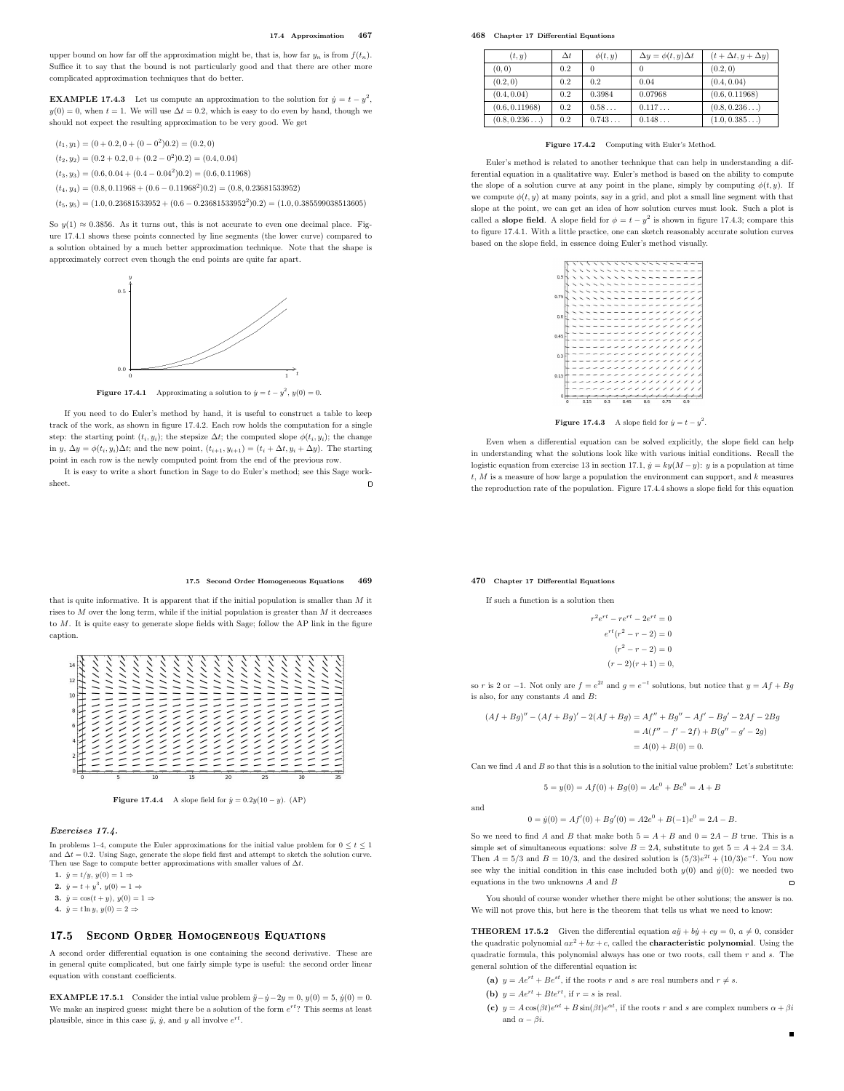upper bound on how far off the approximation might be, that is, how far  $y_n$  is from  $f(t_n)$ . Suffice it to say that the bound is not particularly good and that there are other more complicated approximation techniques that do better.

**EXAMPLE 17.4.3** Let us compute an approximation to the solution for  $\dot{y} = t - y^2$ ,  $y(0) = 0$ , when  $t = 1$ . We will use  $\Delta t = 0.2$ , which is easy to do even by hand, though we should not expect the resulting approximation to be very good. We get

 $(t_1, y_1) = (0 + 0.2, 0 + (0 - 0^2) 0.2) = (0.2, 0)$ 

 $(t_2, y_2) = (0.2 + 0.2, 0 + (0.2 - 0^2) 0.2) = (0.4, 0.04)$ 

 $(t_3, y_3) = (0.6, 0.04 + (0.4 - 0.04^2)0.2) = (0.6, 0.11968)$ 

 $(t_4, y_4) = (0.8, 0.11968 + (0.6 - 0.11968<sup>2</sup>)0.2) = (0.8, 0.23681533952)$ 

 $(t_5, y_5) = (1.0, 0.23681533952 + (0.6 - 0.23681533952^2)0.2) = (1.0, 0.385599038513605)$ 

So  $y(1) \approx 0.3856$ . As it turns out, this is not accurate to even one decimal place. Figure 17.4.1 shows these points connected by line segments (the lower curve) compared to a solution obtained by a much better approximation technique. Note that the shape is approximately correct even though the end points are quite far apart.



**Figure 17.4.1** Approximating a solution to  $\dot{y} = t - y^2$ ,  $y(0) = 0$ .

If you need to do Euler's method by hand, it is useful to construct a table to keep track of the work, as shown in figure 17.4.2. Each row holds the computation for a single step: the starting point  $(t_i, y_i)$ ; the stepsize  $\Delta t$ ; the computed slope  $\phi(t_i, y_i)$ ; the change in y,  $\Delta y = \phi(t_i, y_i) \Delta t$ ; and the new point,  $(t_{i+1}, y_{i+1}) = (t_i + \Delta t, y_i + \Delta y)$ . The starting point in each row is the newly computed point from the end of the previous row.

It is easy to write a short function in Sage to do Euler's method; see this Sage worksheet.  $\blacksquare$  468 Chapter 17 Differential Equations

| (t, y)         | $\Delta t$ | $\phi(t,y)$ | $\Delta y = \phi(t, y) \Delta t$ | $(t+\Delta t, y+\Delta y)$ |
|----------------|------------|-------------|----------------------------------|----------------------------|
| (0, 0)         | 0.2        |             |                                  | (0.2, 0)                   |
| (0.2, 0)       | 0.2        | 0.2         | 0.04                             | (0.4, 0.04)                |
| (0.4, 0.04)    | 0.2        | 0.3984      | 0.07968                          | (0.6, 0.11968)             |
| (0.6, 0.11968) | 0.2        | 0.58        | 0.117                            | (0.8, 0.236)               |
| (0.8, 0.236)   | 0.2        | 0.743       | 0.148                            | (1.0, 0.385)               |

Figure 17.4.2 Computing with Euler's Method.

Euler's method is related to another technique that can help in understanding a differential equation in a qualitative way. Euler's method is based on the ability to compute the slope of a solution curve at any point in the plane, simply by computing  $\phi(t, y)$ . If we compute  $\phi(t, y)$  at many points, say in a grid, and plot a small line segment with that slope at the point, we can get an idea of how solution curves must look. Such a plot is called a **slope field**. A slope field for  $\phi = t - y^2$  is shown in figure 17.4.3; compare this to figure 17.4.1. With a little practice, one can sketch reasonably accurate solution curves based on the slope field, in essence doing Euler's method visually.



**Figure 17.4.3** A slope field for  $\dot{y} = t - y^2$ .

Even when a differential equation can be solved explicitly, the slope field can help in understanding what the solutions look like with various initial conditions. Recall the logistic equation from exercise 13 in section 17.1,  $\dot{y} = ky(M - y)$ : y is a population at time  $t, M$  is a measure of how large a population the environment can support, and  $k$  measures the reproduction rate of the population. Figure 17.4.4 shows a slope field for this equation

#### 470 Chapter 17 Differential Equations

If such a function is a solution then

$$
r^{2}e^{rt} - re^{rt} - 2e^{rt} = 0
$$

$$
e^{rt}(r^{2} - r - 2) = 0
$$

$$
(r^{2} - r - 2) = 0
$$

$$
(r - 2)(r + 1) = 0,
$$

so r is 2 or -1. Not only are  $f = e^{2t}$  and  $g = e^{-t}$  solutions, but notice that  $y = Af + Bg$ is also, for any constants A and B:

$$
(Af + Bg)'' - (Af + Bg)' - 2(Af + Bg) = Af'' + Bg'' - Af' - Bg' - 2Af - 2Bg
$$
  
=  $A(f'' - f' - 2f) + B(g'' - g' - 2g)$   
=  $A(0) + B(0) = 0.$ 

Can we find  $A$  and  $B$  so that this is a solution to the initial value problem? Let's substitute:

$$
5 = y(0) = Af(0) + Bg(0) = Ae^{0} + Be^{0} = A + B
$$

and

$$
0 = \dot{y}(0) = Af'(0) + Bg'(0) = A2e^0 + B(-1)e^0 = 2A - B.
$$

So we need to find A and B that make both  $5 = A + B$  and  $0 = 2A - B$  true. This is a simple set of simultaneous equations: solve  $B = 2A$ , substitute to get  $5 = A + 2A = 3A$ . Then  $A = 5/3$  and  $B = 10/3$ , and the desired solution is  $(5/3)e^{2t} + (10/3)e^{-t}$ . You now see why the initial condition in this case included both  $y(0)$  and  $\dot{y}(0)$ : we needed two equations in the two unknowns  $A$  and  $B$  $\overline{a}$ 

You should of course wonder whether there might be other solutions; the answer is no. We will not prove this, but here is the theorem that tells us what we need to know:

**THEOREM 17.5.2** Given the differential equation  $a\ddot{y} + b\dot{y} + cy = 0$ ,  $a \neq 0$ , consider the quadratic polynomial  $ax^2 + bx + c$ , called the **characteristic polynomial**. Using the quadratic formula, this polynomial always has one or two roots, call them  $r$  and  $s$ . The general solution of the differential equation is:

(a) 
$$
y = Ae^{rt} + Be^{st}
$$
, if the roots r and s are real numbers and  $r \neq s$ .

(b)  $y = Ae^{rt} + Bte^{rt}$ , if  $r = s$  is real.

(c)  $y = A\cos(\beta t)e^{\alpha t} + B\sin(\beta t)e^{\alpha t}$ , if the roots r and s are complex numbers  $\alpha + \beta i$ and  $\alpha - \beta i$ .

 $\blacksquare$ 

## 17.5 Second Order Homogeneous Equations 469

that is quite informative. It is apparent that if the initial population is smaller than  $M$  it rises to  $M$  over the long term, while if the initial population is greater than  $M$  it decreases to M. It is quite easy to generate slope fields with Sage; follow the AP link in the figure caption.

| 14<br>12<br>10 |  |  |   |   |   |                          |   |                          |   |   |   |   |  |  |
|----------------|--|--|---|---|---|--------------------------|---|--------------------------|---|---|---|---|--|--|
|                |  |  |   |   |   |                          |   |                          |   |   |   |   |  |  |
|                |  |  |   |   |   |                          |   |                          |   |   |   |   |  |  |
|                |  |  |   |   |   |                          |   |                          |   |   |   |   |  |  |
|                |  |  |   |   | ╱ | ╱                        | ╱ | ╱                        |   |   |   |   |  |  |
|                |  |  |   |   |   | ╱                        | ╱ | ╱                        | ╱ | ╱ |   |   |  |  |
|                |  |  |   | ╱ | ╱ | ╱                        |   | ╱                        |   |   |   |   |  |  |
|                |  |  | ╱ | ╱ | ╱ | $\overline{\phantom{0}}$ | ╱ | ╱                        |   | ╱ | ╱ | ╱ |  |  |
|                |  |  |   | ╱ | ╱ | $\overline{\phantom{0}}$ | ╱ | $\overline{\phantom{0}}$ | ╱ | ╱ | ╱ | ╱ |  |  |
|                |  |  |   |   | ╱ | ╱                        |   |                          |   |   |   |   |  |  |
|                |  |  |   |   |   |                          |   |                          |   |   |   |   |  |  |
|                |  |  |   |   |   |                          |   |                          |   |   |   |   |  |  |
|                |  |  |   |   |   |                          |   |                          |   |   |   |   |  |  |
|                |  |  |   |   |   |                          |   |                          |   |   |   |   |  |  |

Figure 17.4.4 A slope field for  $\dot{y} = 0.2y(10 - y)$ . (AP)

# Exercises 17.4.

In problems 1–4, compute the Euler approximations for the initial value problem for  $0 \le t \le 1$ <br>and  $\Delta t = 0.2$ . Using Sage, generate the slope field first and attempt to sketch the solution curve.<br>Then use Sage to compute

1.  $\dot{y} = t/y$ ,  $y(0) = 1 \Rightarrow$ 

2.  $\dot{y} = t + y^3, y(0) = 1 \Rightarrow$ 

- 3.  $\dot{y} = \cos(t + y), y(0) = 1 \Rightarrow$
- 4.  $\dot{y} = t \ln y, y(0) = 2 \Rightarrow$

#### 17.5 SECOND ORDER HOMOGENEOUS EQUATIONS 17.5 Se
ond Order Homogeneous Equations

A second order differential equation is one containing the second derivative. These are in general quite complicated, but one fairly simple type is useful: the second order linear equation with constant coefficients.

**EXAMPLE 17.5.1** Consider the intial value problem  $\ddot{y}-\dot{y}-2y=0$ ,  $y(0)=5$ ,  $\dot{y}(0)=0$ . We make an inspired guess: might there be a solution of the form  $e^{rt}$ ? This seems at least plausible, since in this case  $\ddot{y}$ ,  $\dot{y}$ , and y all involve  $e^{rt}$ .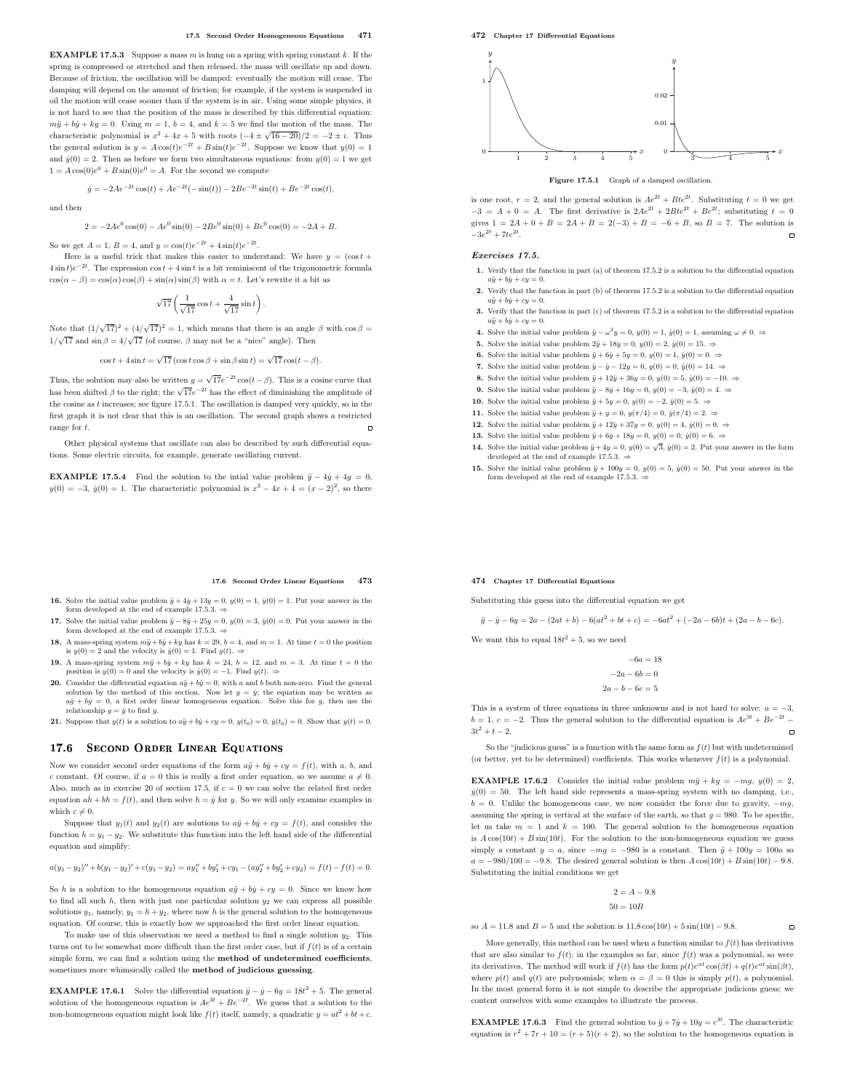**EXAMPLE 17.5.3** Suppose a mass  $m$  is hung on a spring with spring constant  $k$ . If the spring is compressed or stretched and then released, the mass will oscillate up and down. Because of friction, the oscillation will be damped: eventually the motion will cease. The damping will depend on the amount of friction; for example, if the system is suspended in oil the motion will cease sooner than if the system is in air. Using some simple physics, it is not hard to see that the position of the mass is described by this differential equation:  $m\ddot{y} + b\dot{y} + ky = 0$ . Using  $m = 1$ ,  $b = 4$ , and  $k = 5$  we find the motion of the mass. The characteristic polynomial is  $x^2 + 4x + 5$  with roots  $(-4 \pm \sqrt{16 - 20})/2 = -2 \pm i$ . Thus the general solution is  $y = A\cos(t)e^{-2t} + B\sin(t)e^{-2t}$ . Suppose we know that  $y(0) = 1$ and  $\dot{y}(0) = 2$ . Then as before we form two simultaneous equations: from  $y(0) = 1$  we get  $1 = A\cos(0)e^0 + B\sin(0)e^0 = A$ . For the second we compute

$$
\dot{y} = -2Ae^{-2t}\cos(t) + Ae^{-2t}(-\sin(t)) - 2Be^{-2t}\sin(t) + Be^{-2t}\cos(t),
$$

and then

 $2 = -2Ae^{0}\cos(0) - Ae^{0}\sin(0) - 2Be^{0}\sin(0) + Be^{0}\cos(0) = -2A + B.$ 

So we get  $A = 1$ ,  $B = 4$ , and  $y = cos(t)e^{-2t} + 4sin(t)e^{-2t}$ .

Here is a useful trick that makes this easier to understand: We have  $y = (\cos t +$  $4\sin t$ ) $e^{-2t}$ . The expression cos  $t + 4\sin t$  is a bit reminiscent of the trigonometric formula  $\cos(\alpha - \beta) = \cos(\alpha)\cos(\beta) + \sin(\alpha)\sin(\beta)$  with  $\alpha = t$ . Let's rewrite it a bit as

$$
\sqrt{17}\left(\frac{1}{\sqrt{17}}\cos t+\frac{4}{\sqrt{17}}\sin t\right).
$$

Note that  $(1/\sqrt{17})^2 + (4/\sqrt{17})^2 = 1$ , which means that there is an angle  $\beta$  with  $\cos \beta =$  $1/\sqrt{17}$  and  $\sin \beta = 4/\sqrt{17}$  (of course,  $\beta$  may not be a "nice" angle). Then

$$
\cos t + 4\sin t = \sqrt{17} \left( \cos t \cos \beta + \sin \beta \sin t \right) = \sqrt{17} \cos(t - \beta).
$$

Thus, the solution may also be written  $y = \sqrt{17}e^{-2t}\cos(t-\beta)$ . This is a cosine curve that has been shifted  $\beta$  to the right; the  $\sqrt{17}e^{-2t}$  has the effect of diminishing the amplitude of the cosine as  $t$  increases; see figure 17.5.1. The oscillation is damped very quickly, so in the first graph it is not clear that this is an oscillation. The second graph shows a restricted range for t.  $\Box$ 

Other physical systems that oscillate can also be described by such differential equations. Some electric circuits, for example, generate oscillating current.

**EXAMPLE 17.5.4** Find the solution to the intial value problem  $\ddot{y} - 4\dot{y} + 4y = 0$ ,  $y(0) = -3$ ,  $\dot{y}(0) = 1$ . The characteristic polynomial is  $x^2 - 4x + 4 = (x - 2)^2$ , so there

#### 17.6 Second Order Linear Equations 473

- 16. Solve the initial value problem  $\ddot{y} + 4\dot{y} + 13y = 0$ ,  $y(0) = 1$ ,  $\dot{y}(0) = 1$ . Put your answer in the form developed at the end of example 17.5.3. ⇒
- 17. Solve the initial value problem  $\ddot{y} 8\dot{y} + 25y = 0$ ,  $y(0) = 3$ ,  $\dot{y}(0) = 0$ . Put your answer in the form developed at the end of example 17.5.3.  $\Rightarrow$
- 18. A mass-spring system  $m\ddot{y} + b\dot{y} + ky$  has  $k = 29$ ,  $b = 4$ , and  $m = 1$ . At time  $t = 0$  the position is  $y(0) = 2$  and the velocity is  $\dot{y}(0) = 1$ . Find  $y(t) \Rightarrow$
- 19. A mass-spring system  $m\ddot{y} + b\dot{y} + ky$  has  $k = 24$ ,  $b = 12$ , and  $m = 3$ . At time  $t = 0$  the position is  $y(0) = 0$  and the velocity is  $\dot{y}(0) = -1$ . Find  $y(t) = 0$ .
- **20.** Consider the differential equation  $a\ddot{y} + b\dot{y} = 0$ , with a and b both non-zero. Find the general solution by the method of this section. Now let  $g = \dot{y}$ ; the equation may be written as  $a\dot{g} + bg = 0$ , a first order linear homogeneous equation. Solve this for g, then use the relationship  $q = \dot{y}$  to find y.
- 21. Suppose that  $y(t)$  is a solution to  $a\ddot{y} + b\dot{y} + cy = 0$ ,  $y(t_0) = 0$ ,  $\dot{y}(t_0) = 0$ . Show that  $y(t) = 0$ .

# 17.6 SECOND ORDER LINEAR EQUATIONS

Now we consider second order equations of the form  $a\ddot{y} + b\dot{y} + c\dot{y} = f(t)$ , with a, b, and c constant. Of course, if  $a = 0$  this is really a first order equation, so we assume  $a \neq 0$ . Also, much as in exercise 20 of section 17.5, if  $c = 0$  we can solve the related first order equation  $a\dot{h} + bh = f(t)$ , and then solve  $h = \dot{y}$  for y. So we will only examine examples in which  $c \neq 0$ .

Suppose that  $y_1(t)$  and  $y_2(t)$  are solutions to  $a\ddot{y} + b\dot{y} + cu = f(t)$ , and consider the function  $h = y_1 - y_2$ . We substitute this function into the left hand side of the differential equation and simplify:

 $a(y_1 - y_2)'' + b(y_1 - y_2)' + c(y_1 - y_2) = ay_1'' + by_1' + cy_1 - (ay_2'' + by_2' + cy_2) = f(t) - f(t) = 0.$ 

So h is a solution to the homogeneous equation  $a\ddot{v} + b\dot{v} + cv = 0$ . Since we know how to find all such  $h$ , then with just one particular solution  $y_2$  we can express all possible solutions  $y_1$ , namely,  $y_1 = h + y_2$ , where now h is the general solution to the homogeneous equation. Of course, this is exactly how we approached the first order linear equation.

To make use of this observation we need a method to find a single solution  $y_2$ . This turns out to be somewhat more difficult than the first order case, but if  $f(t)$  is of a certain simple form, we can find a solution using the method of undetermined coefficients, sometimes more whimsically called the method of judicious guessing.

**EXAMPLE 17.6.1** Solve the differential equation  $\ddot{y} - \dot{y} - 6y = 18t^2 + 5$ . The general solution of the homogeneous equation is  $Ae^{3t} + Be^{-2t}$ . We guess that a solution to the non-homogeneous equation might look like  $f(t)$  itself, namely, a quadratic  $y = at^2 + bt + c$ . 472 Chapter 17 Differential Equations



Figure 17.5.1 Graph of a damped oscillation

is one root,  $r = 2$ , and the general solution is  $Ae^{2t} + Bte^{2t}$ . Substituting  $t = 0$  we get  $-3 = A + 0 = A$ . The first derivative is  $2Ae^{2t} + 2Bte^{2t} + Be^{2t}$ ; substituting  $t = 0$ gives  $1 = 2A + 0 + B = 2A + B = 2(-3) + B = -6 + B$ , so  $B = 7$ . The solution is  $-3e^{2t} + 7te^{2t}$ .  $-3e^{2t} + 7te^{2t}$ .

# Exercises 17.5.

- 1. Verify that the function in part (a) of theorem 17.5.2 is a solution to the differential equation  $a\ddot{y} + b\dot{y} + cy = 0.$
- 2. Verify that the function in part (b) of theorem 17.5.2 is a solution to the differential equation  $a\ddot{v} + b\dot{u} + cu = 0.$
- 3. Verify that the function in part (c) of theorem 17.5.2 is a solution to the differential equation  $a\ddot{y} + b\dot{y} + cy = 0.$
- **4.** Solve the initial value problem  $\ddot{y} \omega^2 y = 0$ ,  $y(0) = 1$ ,  $\dot{y}(0) = 1$ , assuming  $\omega \neq 0$ . ⇒
- 5. Solve the initial value problem  $2\ddot{y} + 18y = 0$ ,  $y(0) = 2$ ,  $\dot{y}(0) = 15$ .  $\Rightarrow$
- 6. Solve the initial value problem  $\ddot{y} + 6\dot{y} + 5y = 0$ ,  $y(0) = 1$ ,  $\dot{y}(0) = 0$ .  $\Rightarrow$
- 7. Solve the initial value problem  $\ddot{y} \dot{y} 12y = 0$ ,  $y(0) = 0$ ,  $\dot{y}(0) = 14$ .  $\Rightarrow$
- 8. Solve the initial value problem  $\ddot{y} + 12\dot{y} + 36y = 0$ ,  $y(0) = 5$ ,  $\dot{y}(0) = -10$ .  $\Rightarrow$
- 9. Solve the initial value problem  $\ddot{y} 8\dot{y} + 16y = 0$ ,  $y(0) = -3$ ,  $\dot{y}(0) = 4$ .  $\Rightarrow$
- 10. Solve the initial value problem  $\ddot{y} + 5y = 0$ ,  $y(0) = -2$ ,  $\dot{y}(0) = 5$ .  $\Rightarrow$
- 11. Solve the initial value problem  $\ddot{y} + y = 0$ ,  $y(\pi/4) = 0$ ,  $\dot{y}(\pi/4) = 2$ .
- 12. Solve the initial value problem  $\ddot{y} + 12\dot{y} + 37y = 0$ ,  $y(0) = 4$ ,  $\dot{y}(0) = 0$ .  $\Rightarrow$
- 13. Solve the initial value problem  $\ddot{y} + 6\dot{y} + 18y = 0$ ,  $y(0) = 0$ ,  $\dot{y}(0) = 6$ .  $\Rightarrow$ **14.** Solve the initial value problem  $\ddot{y} + 4y = 0$ ,  $y(0) = \sqrt{3}$ ,  $\dot{y}(0) = 2$ . Put your answer in the form developed at the end of example 17.5.3. ⇒
- **15.** Solve the initial value problem  $\ddot{y} + 100y = 0$ ,  $y(0) = 5$ ,  $\dot{y}(0) = 50$ . Put your answer in the form developed at the end of example 17.5.3.  $\Rightarrow$

#### 474 Chapter 17 Differential Equations

Substituting this guess into the differential equation we get

$$
\ddot{y} - \dot{y} - 6y = 2a - (2at + b) - 6(at^2 + bt + c) = -6at^2 + (-2a - 6b)t + (2a - b - 6c).
$$

We want this to equal  $18t^2 + 5$ , so we need

$$
-6a = 18
$$

$$
-2a - 6b = 0
$$

$$
2a - b - 6c = 5
$$

This is a system of three equations in three unknowns and is not hard to solve:  $a = -3$ ,  $b = 1, c = -2$ . Thus the general solution to the differential equation is  $Ae^{3t} + Be^{-2t} - 3t^2 + t - 2$ .  $3t^2 + t - 2$ .

So the "judicious guess" is a function with the same form as  $f(t)$  but with undetermined (or better, yet to be determined) coefficients. This works whenever  $f(t)$  is a polynomial.

**EXAMPLE 17.6.2** Consider the initial value problem  $m\ddot{y} + ky = -mg$ ,  $y(0) = 2$ ,  $y(0) = 50$ . The left hand side represents a mass-spring system with no damping, i.e.,  $b = 0$ . Unlike the homogeneous case, we now consider the force due to gravity,  $-mg$ , assuming the spring is vertical at the surface of the earth, so that  $q = 980$ . To be specific, let us take  $m = 1$  and  $k = 100$ . The general solution to the homogeneous equation is  $A\cos(10t) + B\sin(10t)$ . For the solution to the non-homogeneous equation we guess simply a constant  $y = a$ , since  $-mg = -980$  is a constant. Then  $\ddot{y} + 100y = 100a$  so  $a = -980/100 = -9.8$ . The desired general solution is then  $A\cos(10t) + B\sin(10t) - 9.8$ . Substituting the initial conditions we get

$$
2 = A - 9.8
$$

$$
50 = 10B
$$

 $\Box$ 

so  $A = 11.8$  and  $B = 5$  and the solution is  $11.8 \cos(10t) + 5 \sin(10t) - 9.8$ .

More generally, this method can be used when a function similar to  $f(t)$  has derivatives that are also similar to  $f(t)$ ; in the examples so far, since  $f(t)$  was a polynomial, so were its derivatives. The method will work if  $f(t)$  has the form  $p(t)e^{\alpha t}\cos(\beta t) + q(t)e^{\alpha t}\sin(\beta t)$ , where  $p(t)$  and  $q(t)$  are polynomials; when  $\alpha = \beta = 0$  this is simply  $p(t)$ , a polynomial. In the most general form it is not simple to describe the appropriate judicious guess; we content ourselves with some examples to illustrate the process.

**EXAMPLE 17.6.3** Find the general solution to  $\ddot{y} + 7\dot{y} + 10y = e^{3t}$ . The characteristic equation is  $r^2 + 7r + 10 = (r + 5)(r + 2)$ , so the solution to the homogeneous equation is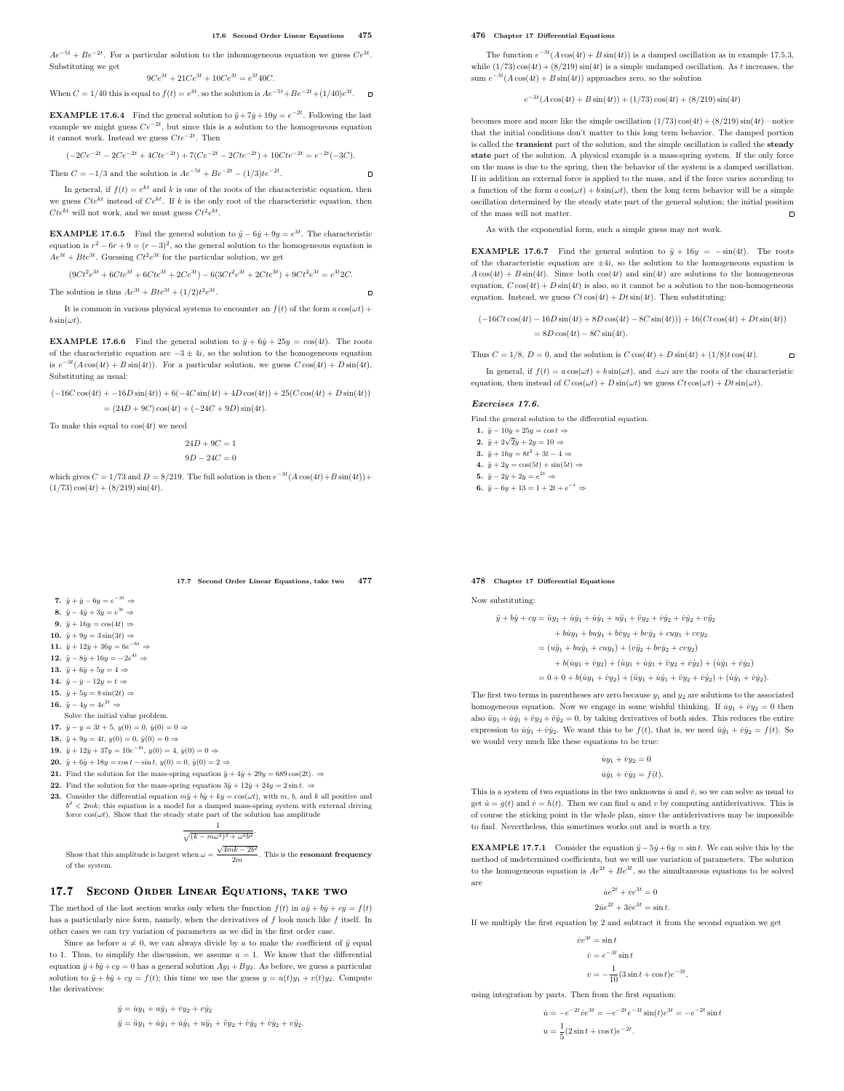$\blacksquare$ 

 $\Box$ 

 $Ae^{-5t} + Be^{-2t}$ . For a particular solution to the inhomogeneous equation we guess  $Ce^{3t}$ . Substituting we get

$$
9Ce^{3t} + 21Ce^{3t} + 10Ce^{3t} = e^{3t}40C.
$$

When  $C = 1/40$  this is equal to  $f(t) = e^{3t}$ , so the solution is  $Ae^{-5t} + Be^{-2t} + (1/40)e^{3t}$ .

**EXAMPLE 17.6.4** Find the general solution to  $\ddot{y} + 7\dot{y} + 10y = e^{-2t}$ . Following the last example we might guess  $Ce^{-2t}$ , but since this is a solution to the homogeneous equation it cannot work. Instead we guess  $Cte^{-2t}$ . Then

$$
(-2Ce^{-2t} - 2Ce^{-2t} + 4Cte^{-2t}) + 7(Ce^{-2t} - 2Cte^{-2t}) + 10Cte^{-2t} = e^{-2t}(-3C).
$$

Then  $C = -1/3$  and the solution is  $Ae^{-5t} + Be^{-2t} - (1/3)te^{-2t}$ .

In general, if  $f(t) = e^{kt}$  and k is one of the roots of the characteristic equation, then we guess  $Cte^{kt}$  instead of  $Ce^{kt}$ . If k is the only root of the characteristic equation, then  $Cte^{kt}$  will not work, and we must guess  $Ct^2e^{kt}$ .

**EXAMPLE 17.6.5** Find the general solution to  $\ddot{y} - 6\dot{y} + 9y = e^{3t}$ . The characteristic equation is  $r^2 - 6r + 9 = (r - 3)^2$ , so the general solution to the homogeneous equation is  $Ae^{3t} + Bte^{3t}$ . Guessing  $Ct^2e^{3t}$  for the particular solution, we get

 $(9Ct^2e^{3t} + 6Cte^{3t} + 6Cte^{3t} + 2Ce^{3t}) - 6(3Ct^2e^{3t} + 2Cte^{3t}) + 9Ct^2e^{3t} = e^{3t}2C.$ 

The solution is thus  $Ae^{3t} + Bte^{3t} + (1/2)t^2e^{3t}$ .

It is common in various physical systems to encounter an  $f(t)$  of the form  $a\cos(\omega t)$  +  $b \sin(\omega t)$ .

**EXAMPLE 17.6.6** Find the general solution to  $\ddot{y} + 6\dot{y} + 25y = \cos(4t)$ . The roots of the characteristic equation are  $-3 \pm 4i$ , so the solution to the homogeneous equation is  $e^{-3t}(A\cos(4t) + B\sin(4t))$ . For a particular solution, we guess  $C\cos(4t) + D\sin(4t)$ . Substituting as usual:

 $(-16C\cos(4t) + -16D\sin(4t)) + 6(-4C\sin(4t) + 4D\cos(4t)) + 25(C\cos(4t) + D\sin(4t))$  $= (24D + 9C)\cos(4t) + (-24C + 9D)\sin(4t).$ 

To make this equal to  $cos(4t)$  we need

$$
24D+9C=1
$$

 $9D - 24C = 0$ 

which gives  $C = 1/73$  and  $D = 8/219$ . The full solution is then  $e^{-3t}(A\cos(4t) + B\sin(4t)) +$  $(1/73)\cos(4t) + (8/219)\sin(4t).$ 

# 17.7 Second Order Linear Equations, take two 477

- 7.  $\ddot{y} + \dot{y} 6y = e^{-3t} \Rightarrow$
- 8.  $\ddot{y} 4\dot{y} + 3y = e^{3t} \Rightarrow$
- 9.  $\ddot{y} + 16y = \cos(4t) \Rightarrow$ 10.  $\ddot{u} + 9u = 3\sin(3t) \Rightarrow$
- 
- 11.  $\ddot{y} + 12\dot{y} + 36y = 6e^{-6t} \Rightarrow$ 12.  $\ddot{y} - 8\dot{y} + 16y = -2e^{4t} \Rightarrow$
- 13.  $\ddot{y} + 6\dot{y} + 5y = 4 \Rightarrow$
- 14.  $\ddot{y} \dot{y} 12y = t \Rightarrow$
- 15.  $\ddot{y} + 5y = 8 \sin(2t) \Rightarrow$
- 16.  $\ddot{y} 4y = 4e^{2t} \Rightarrow$
- Solve the initial value problem.
- 17.  $\ddot{y} y = 3t + 5$ ,  $y(0) = 0$ ,  $\dot{y}(0) = 0 \Rightarrow$
- 18.  $\ddot{y} + 9y = 4t$ ,  $y(0) = 0$ ,  $\dot{y}(0) = 0 \Rightarrow$
- 19.  $\ddot{y} + 12\dot{y} + 37y = 10e^{-4t}, y(0) = 4, \dot{y}(0) = 0 \Rightarrow$
- 20.  $\ddot{y} + 6\dot{y} + 18y = \cos t \sin t, y(0) = 0, \dot{y}(0) = 2 \Rightarrow$
- 21. Find the solution for the mass-spring equation  $\ddot{y} + 4\dot{y} + 29y = 689 \cos(2t)$ .  $\Rightarrow$
- 22. Find the solution for the mass-spring equation  $3\ddot{y} + 12\dot{y} + 24y = 2\sin t$ .  $\Rightarrow$
- 23. Consider the differential equation  $m\ddot{y} + b\dot{y} + ky = \cos(\omega t)$ , with m, b, and k all positive and  $b^2 < 2mk$ ; this equation is a model for a damped mass-spring system with external driving force  $cos(\omega t)$ . Show that the steady state part of the solution has amplitude

$$
\frac{1}{\sqrt{(k - m\omega^2)^2 + \omega^2 b^2}}.
$$
  
at when  $\omega = \frac{\sqrt{4mk - 2b^2}}{}$ 

Show that this amplitude is largest when  $\omega = \frac{\sqrt{2}}{2\pi}$  $\frac{2m}{2m}$ . This is the **resonant frequency** of the system.

# 17.7 SECOND ORDER LINEAR EQUATIONS, TAKE TWO

The method of the last section works only when the function  $f(t)$  in  $a\ddot{y} + b\dot{y} + cy = f(t)$ has a particularly nice form, namely, when the derivatives of  $f$  look much like  $f$  itself. In other cases we can try variation of parameters as we did in the first order case.

Since as before  $a \neq 0$ , we can always divide by a to make the coefficient of  $\ddot{y}$  equal to 1. Thus, to simplify the discussion, we assume  $a = 1$ . We know that the differential equation  $\ddot{y} + b\dot{y} + cy = 0$  has a general solution  $Ay_1 + By_2$ . As before, we guess a particular solution to  $\ddot{y} + b\dot{y} + cy = f(t)$ ; this time we use the guess  $y = u(t)y_1 + v(t)y_2$ . Compute the derivatives:

$$
\begin{aligned} \dot{y} &= i y_1 + u \dot{y}_1 + \dot{v} y_2 + v \dot{y}_2 \\ \ddot{y} &= i y_1 + \dot{u} \dot{y}_1 + \dot{u} \dot{y}_1 + u \ddot{y}_1 + \ddot{v} y_2 + \dot{v} \dot{y}_2 + \dot{v} \dot{y}_2 + v \ddot{y}_2. \end{aligned}
$$

#### 476 Chapter 17 Differential Equations

The function  $e^{-3t}(A\cos(4t) + B\sin(4t))$  is a damped oscillation as in example 17.5.3, while  $(1/73)\cos(4t) + (8/219)\sin(4t)$  is a simple undamped oscillation. As t increases, the sum  $e^{-3t}(A\cos(4t) + B\sin(4t))$  approaches zero, so the solution

## $e^{-3t}(A\cos(4t) + B\sin(4t)) + (1/73)\cos(4t) + (8/219)\sin(4t)$

becomes more and more like the simple oscillation  $(1/73)\cos(4t) + (8/219)\sin(4t)$ —notice that the initial conditions don't matter to this long term behavior. The damped portion is called the transient part of the solution, and the simple oscillation is called the steady state part of the solution. A physical example is a mass-spring system. If the only force on the mass is due to the spring, then the behavior of the system is a damped oscillation. If in addition an external force is applied to the mass, and if the force varies according to a function of the form  $a \cos(\omega t) + b \sin(\omega t)$ , then the long term behavior will be a simple oscillation determined by the steady state part of the general solution; the initial position of the mass will not matter.  $\Box$ 

As with the exponential form, such a simple guess may not work.

**EXAMPLE 17.6.7** Find the general solution to  $\ddot{y} + 16y = -\sin(4t)$ . The roots of the characteristic equation are  $\pm 4i$ , so the solution to the homogeneous equation is  $A\cos(4t) + B\sin(4t)$ . Since both  $\cos(4t)$  and  $\sin(4t)$  are solutions to the homogeneous equation,  $C \cos(4t) + D \sin(4t)$  is also, so it cannot be a solution to the non-homogeneous equation. Instead, we guess  $Ct\cos(4t) + Dt\sin(4t)$ . Then substituting:

 $(-16Ct\cos(4t)-16D\sin(4t)+8D\cos(4t)-8C\sin(4t)))+16(Ct\cos(4t)+Dt\sin(4t))$  $= 8D \cos(4t) - 8C \sin(4t).$ 

Thus  $C = 1/8$ ,  $D = 0$ , and the solution is  $C \cos(4t) + D \sin(4t) + (1/8)t \cos(4t)$ .

In general, if  $f(t) = a \cos(\omega t) + b \sin(\omega t)$ , and  $\pm \omega i$  are the roots of the characteristic equation, then instead of  $C \cos(\omega t) + D \sin(\omega t)$  we guess  $Ct \cos(\omega t) + Dt \sin(\omega t)$ .

 $\blacksquare$ 

#### Exercises 17.6.

Find the general solution to the differential equation.

- 1.  $\ddot{y} 10\dot{y} + 25y = \cos t \Rightarrow$
- 2.  $\ddot{y} + 2\sqrt{2}\dot{y} + 2y = 10 \Rightarrow$
- 3.  $\ddot{y} + 16y = 8t^2 + 3t 4 \Rightarrow$
- 4.  $\ddot{y} + 2y = \cos(5t) + \sin(5t) \Rightarrow$
- 5.  $\ddot{y} 2\dot{y} + 2y = e^{2t} \Rightarrow$
- 6.  $\ddot{y} 6y + 13 = 1 + 2t + e^{-t} \Rightarrow$

#### 478 Chapter 17 Differential Equations

Now substituting:

$$
\ddot{y} + b\dot{y} + cy = \ddot{u}y_1 + \dot{u}\dot{y}_1 + \dot{u}\dot{y}_1 + u\ddot{y}_1 + \ddot{v}y_2 + \dot{v}\dot{y}_2 + \dot{v}\dot{y}_2 + v\ddot{y}_2
$$

 $+ b\dot{u}y_1 + b\dot{u}y_1 + b\dot{v}y_2 + b\dot{v}y_2 + c\dot{u}y_1 + c\dot{v}y_2$ 

- $=(u\ddot{y}_1 + bu\dot{y}_1 + cuy_1) + (v\ddot{y}_2 + bv\dot{y}_2 + cvy_2)$ 
	- $+ b(iy_1 + iy_2) + (i\dot{y}_1 + i\dot{y}_1 + \ddot{v}y_2 + \dot{v}\dot{y}_2) + (i\dot{y}_1 + \dot{v}\dot{y}_2)$
- $= 0 + 0 + b(iy_1 + iy_2) + (i\dot{y}_1 + i\dot{y}_1 + \ddot{v}y_2 + \dot{v}\dot{y}_2) + (\dot{u}\dot{y}_1 + \dot{v}\dot{y}_2).$

The first two terms in parentheses are zero because  $y_1$  and  $y_2$  are solutions to the associated homogeneous equation. Now we engage in some wishful thinking. If  $\dot{u}y_1 + \dot{v}y_2 = 0$  then also  $\ddot{u}y_1 + \dot{u}y_1 + \ddot{v}y_2 + \dot{v}y_2 = 0$ , by taking derivatives of both sides. This reduces the entire expression to  $\dot{u}\dot{y}_1 + \dot{v}\dot{y}_2$ . We want this to be  $f(t)$ , that is, we need  $\dot{u}\dot{y}_1 + \dot{v}\dot{y}_2 = f(t)$ . So we would very much like these equations to be true:

# $\dot{u}y_1 + \dot{v}y_2 = 0$  $\dot{u}\dot{y}_1 + \dot{v}\dot{y}_2 = f(t).$

This is a system of two equations in the two unknowns  $\dot{u}$  and  $\dot{v}$ , so we can solve as usual to get  $\dot{u} = g(t)$  and  $\dot{v} = h(t)$ . Then we can find u and v by computing antiderivatives. This is of course the sticking point in the whole plan, since the antiderivatives may be impossible to find. Nevertheless, this sometimes works out and is worth a try.

**EXAMPLE 17.7.1** Consider the equation  $\ddot{y} - 5\dot{y} + 6y = \sin t$ . We can solve this by the method of undetermined coefficients, but we will use variation of parameters. The solution to the homogeneous equation is  $Ae^{2t} + Be^{3t}$ , so the simultaneous equations to be solved are

$$
\dot{u}e^{2t} + \dot{v}e^{3t} = 0
$$
  

$$
2\dot{u}e^{2t} + 3\dot{v}e^{3t} = \sin t.
$$

If we multiply the first equation by 2 and subtract it from the second equation we get

$$
\begin{aligned} ie^{3t} &= \sin t \\ \dot{v} &= e^{-3t} \sin t \\ v &= -\frac{1}{10} (3 \sin t + \cos t) e^{-3t} \end{aligned}
$$

,

using integration by parts. Then from the first equation:

$$
\dot{u} = -e^{-2t}\dot{v}e^{3t} = -e^{-2t}e^{-3t}\sin(t)e^{3t} = -e^{-2t}\sin t
$$

$$
u = \frac{1}{5}(2\sin t + \cos t)e^{-2t}.
$$